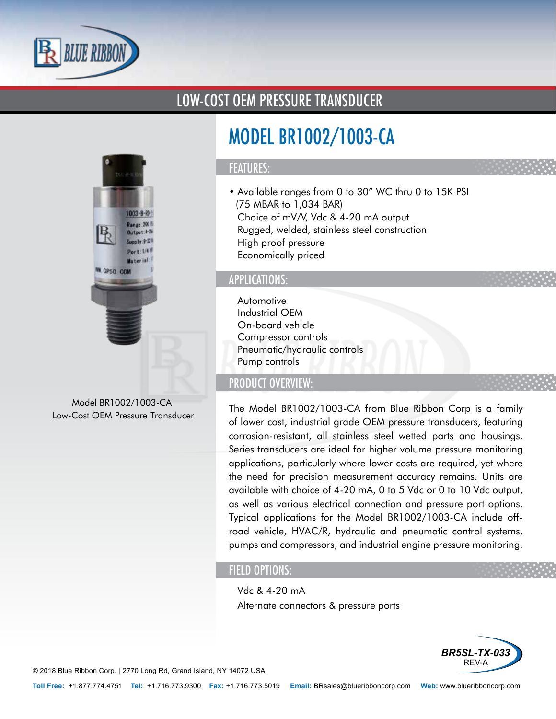

### LOW-COST OEM PRESSURE TRANSDUCER



Model BR1002/1003-CA Low-Cost OEM Pressure Transducer

# MODEL BR1002/1003-CA

#### FEATURES:

- Available ranges from 0 to 30" WC thru 0 to 15K PSI (75 MBAR to 1,034 BAR)
- Choice of mV/V, Vdc & 4-20 mA output
- Rugged, welded, stainless steel construction
- High proof pressure
- Economically priced

#### APPLICATIONS:

- Automotive
- Industrial OEM
- On-board vehicle
- Compressor controls
- Pneumatic/hydraulic controls
- Pump controls

#### PRODUCT OVERVIEW:

The Model BR1002/1003-CA from Blue Ribbon Corp is a family of lower cost, industrial grade OEM pressure transducers, featuring corrosion-resistant, all stainless steel wetted parts and housings. Series transducers are ideal for higher volume pressure monitoring applications, particularly where lower costs are required, yet where the need for precision measurement accuracy remains. Units are available with choice of 4-20 mA, 0 to 5 Vdc or 0 to 10 Vdc output, as well as various electrical connection and pressure port options. Typical applications for the Model BR1002/1003-CA include offroad vehicle, HVAC/R, hydraulic and pneumatic control systems, pumps and compressors, and industrial engine pressure monitoring.

#### FIELD OPTIONS:

- Vdc & 4-20 mA
- Alternate connectors & pressure ports



© 2018 Blue Ribbon Corp. *<sup>|</sup>* 2770 Long Rd, Grand Island, NY 14072 USA